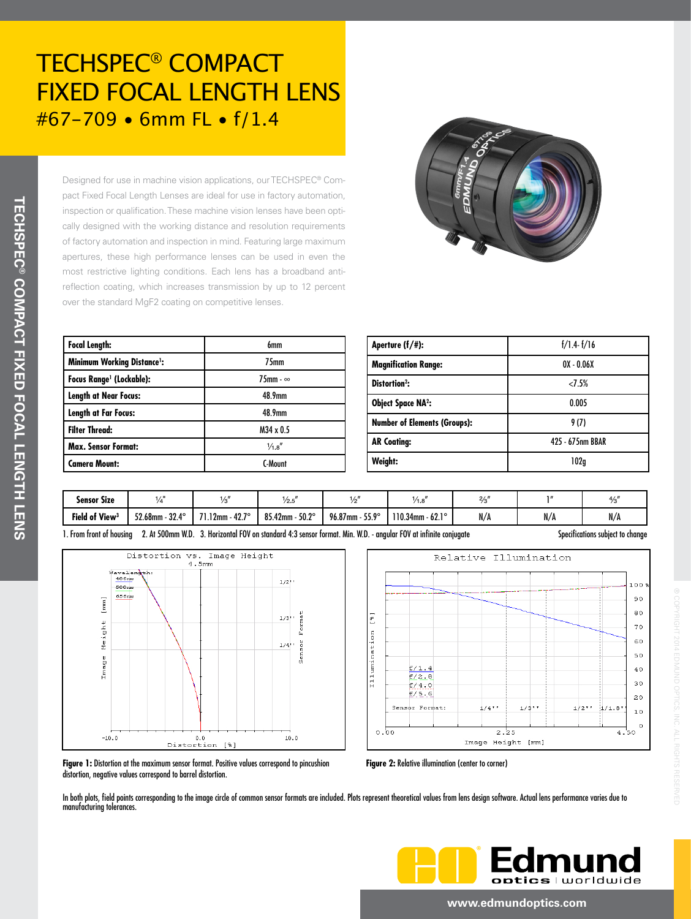Designed for use in machine vision applications, our TECHSPEC® Compact Fixed Focal Length Lenses are ideal for use in factory automation, inspection or qualification. These machine vision lenses have been optically designed with the working distance and resolution requirements of factory automation and inspection in mind. Featuring large maximum apertures, these high performance lenses can be used in even the most restrictive lighting con reflection coating, which inc over the standard MgF2 coat

| ditions. Each lens has a broadband anti- |                             |
|------------------------------------------|-----------------------------|
| reases transmission by up to 12 percent  |                             |
| ting on competitive lenses.              |                             |
|                                          |                             |
|                                          |                             |
| 6mm                                      | Aperture (f/#):             |
| 75mm                                     | <b>Magnification Range:</b> |
| 75mm - $\infty$                          | Distortion <sup>2</sup> :   |
| 48.9mm                                   | <b>Object Space NA2:</b>    |
| 48.9mm                                   |                             |

| <b>Minimum Working Distance':</b>          | 75mm               | <b>Magnification Range:</b>      |  |
|--------------------------------------------|--------------------|----------------------------------|--|
| <b>Focus Range<sup>1</sup></b> (Lockable): | $75$ mm - $\infty$ | Distortion <sup>2</sup> :        |  |
| <b>Length at Near Focus:</b>               | 48.9mm             | <b>Object Space NA2:</b>         |  |
| <b>Length at Far Focus:</b>                | 48.9mm             |                                  |  |
| <b>Filter Thread:</b>                      | $M34 \times 0.5$   | <b>Number of Elements (Group</b> |  |
| <b>Max. Sensor Format:</b>                 | $\frac{1}{4.8}$    | <b>AR Coating:</b>               |  |
| <b>Camera Mount:</b>                       | C-Mount            | Weight:                          |  |

| Aperture $(f/\#)$ :                 | $f/1.4-f/16$     |  |  |
|-------------------------------------|------------------|--|--|
| <b>Magnification Range:</b>         | $0X - 0.06X$     |  |  |
| Distortion <sup>2</sup> :           | 2.5%             |  |  |
| <b>Object Space NA2:</b>            | 0.005            |  |  |
| <b>Number of Elements (Groups):</b> | 9 (7)            |  |  |
| <b>AR Coating:</b>                  | 425 - 675nm BBAR |  |  |
| Weight:                             | 102a             |  |  |

| <b>Sensor Size</b>               | 1/5                     |                            | 1/2.5                     | , <u>,</u>                   | 1.0                               | 2/1<br>70 |           | 4/2<br>73 |
|----------------------------------|-------------------------|----------------------------|---------------------------|------------------------------|-----------------------------------|-----------|-----------|-----------|
| <b>Field of View<sup>3</sup></b> | $32.4^\circ$<br>52.68mm | $-42.7^{\circ}$<br>$12$ mm | $50.2^\circ$<br>85.42mm - | $96.87$ mm -<br>$55.9^\circ$ | <b>LO 10</b><br>$110.34$ mm - 62. | N/A       | M<br>IV/A | N/A       |

1. From front of housing 2. At 500mm W.D. 3. Horizontal FOV on standard 4:3 sensor format. Min. W.D. - angular FOV at infinite conjugate Specifications subject to change ֦





® COPYRIGHT 2014 EDMUND OPTICS, INC. ALL RIGHTS RESERVED

**Figure 1:** Distortion at the maximum sensor format. Positive values correspond to pincushion distortion, negative values correspond to barrel distortion.

**Figure 2:** Relative illumination (center to corner)

In both plots, field points corresponding to the image circle of common sensor formats are included. Plots represent theoretical values from lens design software. Actual lens performance varies due to manufacturing tolerances.



#### **www.edmundoptics.com**

**Focal Length:**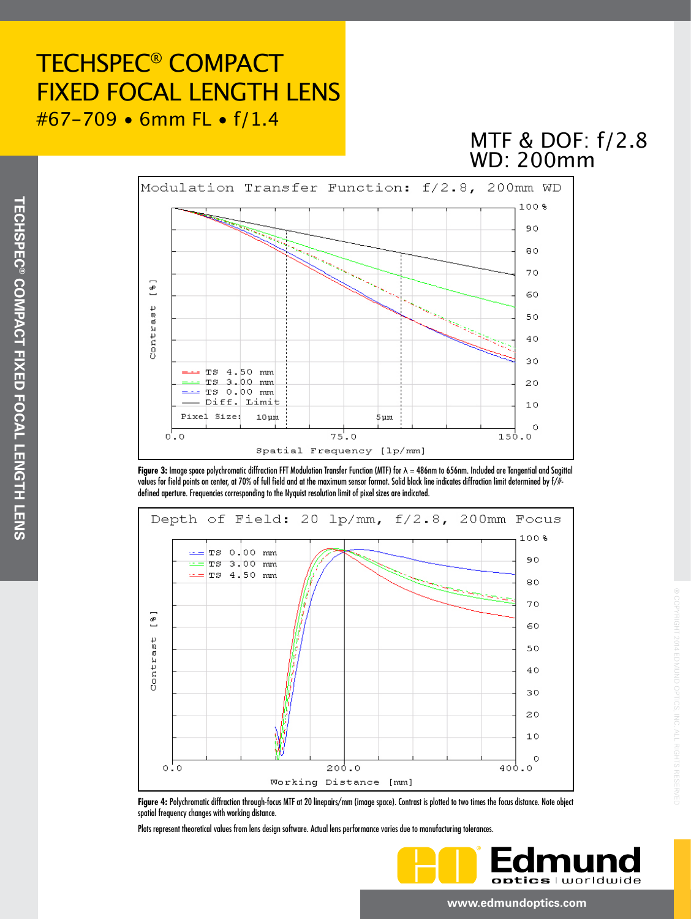## MTF & DOF: f/2.8 WD: 200mm



**Figure 3:** Image space polychromatic diffraction FFT Modulation Transfer Function (MTF) for λ = 486nm to 656nm. Included are Tangential and Sagittal values for field points on center, at 70% of full field and at the maximum sensor format. Solid black line indicates diffraction limit determined by f/# defined aperture. Frequencies corresponding to the Nyquist resolution limit of pixel sizes are indicated.



**Figure 4:** Polychromatic diffraction through-focus MTF at 20 linepairs/mm (image space). Contrast is plotted to two times the focus distance. Note object spatial frequency changes with working distance.

Plots represent theoretical values from lens design software. Actual lens performance varies due to manufacturing tolerances.



® COPYRIGHT 2014 EDMUND OPTICS, INC. ALL RIGHTS RESERVED

#### **www.edmundoptics.com**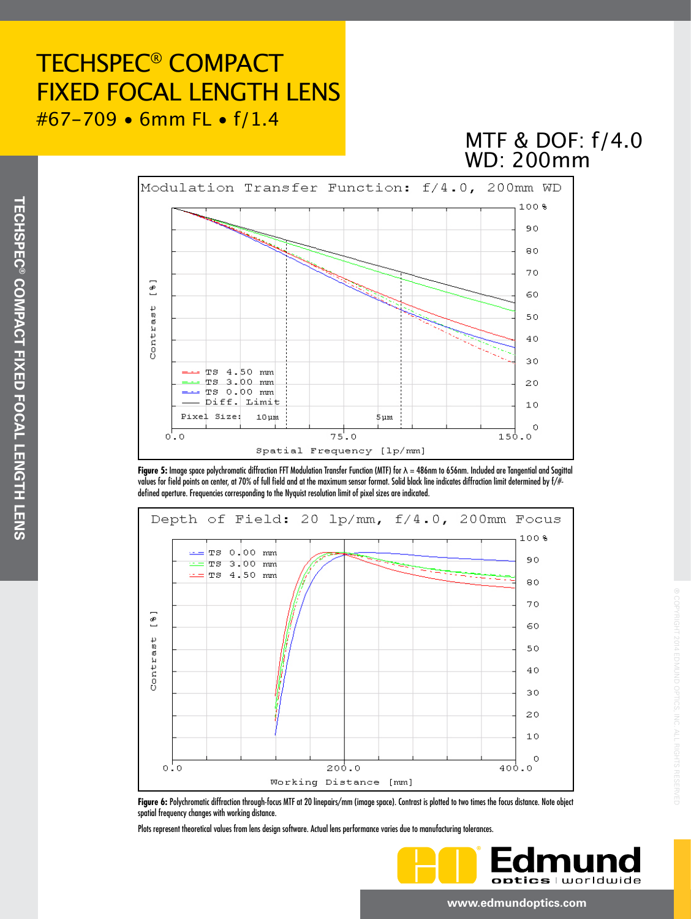## WD: 200mm MTF & DOF: f/4.0







**Figure 6:** Polychromatic diffraction through-focus MTF at 20 linepairs/mm (image space). Contrast is plotted to two times the focus distance. Note object spatial frequency changes with working distance.

Plots represent theoretical values from lens design software. Actual lens performance varies due to manufacturing tolerances.

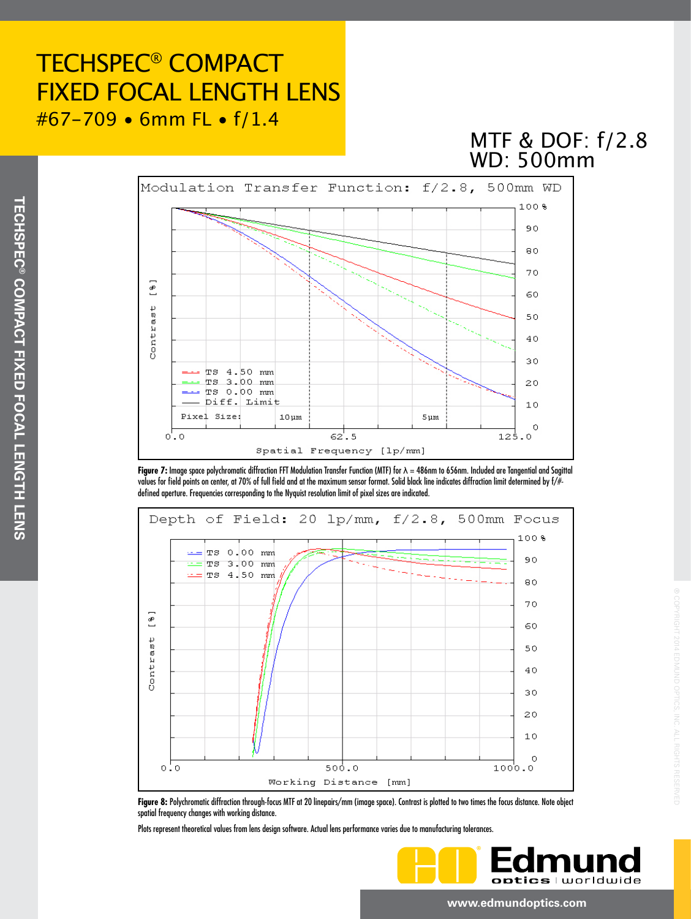## MTF & DOF: f/2.8 WD: 500mm



**Figure 7:** Image space polychromatic diffraction FFT Modulation Transfer Function (MTF) for λ = 486nm to 656nm. Included are Tangential and Sagittal values for field points on center, at 70% of full field and at the maximum sensor format. Solid black line indicates diffraction limit determined by f/# defined aperture. Frequencies corresponding to the Nyquist resolution limit of pixel sizes are indicated.



**Figure 8:** Polychromatic diffraction through-focus MTF at 20 linepairs/mm (image space). Contrast is plotted to two times the focus distance. Note object spatial frequency changes with working distance.

Plots represent theoretical values from lens design software. Actual lens performance varies due to manufacturing tolerances.



® COPYRIGHT 2014 EDMUND OPTICS, INC. ALL RIGHTS RESERVED